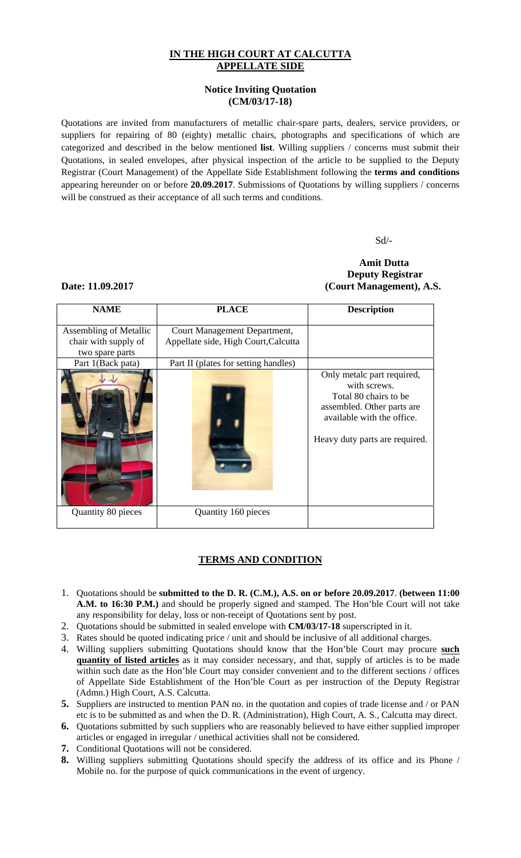## **IN THE HIGH COURT AT CALCUTTA APPELLATE SIDE**

### **Notice Inviting Quotation (CM/03/17-18)**

Quotations are invited from manufacturers of metallic chair-spare parts, dealers, service providers, or suppliers for repairing of 80 (eighty) metallic chairs, photographs and specifications of which are categorized and described in the below mentioned **list**. Willing suppliers / concerns must submit their Quotations, in sealed envelopes, after physical inspection of the article to be supplied to the Deputy Registrar (Court Management) of the Appellate Side Establishment following the **terms and conditions** appearing hereunder on or before **20.09.2017**. Submissions of Quotations by willing suppliers / concerns will be construed as their acceptance of all such terms and conditions.

Sd/-

## **Amit Dutta Deputy Registrar Date: 11.09.2017 (Court Management), A.S.**

# **NAME PLACE Description**  Assembling of Metallic chair with supply of two spare parts Court Management Department, Appellate side, High Court,Calcutta Part 1(Back pata) Part II (plates for setting handles) Only metalc part required, with screws. Total 80 chairs to be assembled. Other parts are available with the office. Heavy duty parts are required. Quantity 80 pieces Quantity 160 pieces

## **TERMS AND CONDITION**

- 1. Quotations should be **submitted to the D. R. (C.M.), A.S. on or before 20.09.2017**. **(between 11:00 A.M. to 16:30 P.M.)** and should be properly signed and stamped. The Hon'ble Court will not take any responsibility for delay, loss or non-receipt of Quotations sent by post.
- 2. Quotations should be submitted in sealed envelope with **CM/03/17-18** superscripted in it.
- 3. Rates should be quoted indicating price / unit and should be inclusive of all additional charges.
- 4. Willing suppliers submitting Quotations should know that the Hon'ble Court may procure **such quantity of listed articles** as it may consider necessary, and that, supply of articles is to be made within such date as the Hon'ble Court may consider convenient and to the different sections / offices of Appellate Side Establishment of the Hon'ble Court as per instruction of the Deputy Registrar (Admn.) High Court, A.S. Calcutta.
- **5.** Suppliers are instructed to mention PAN no. in the quotation and copies of trade license and / or PAN etc is to be submitted as and when the D. R. (Administration), High Court, A. S., Calcutta may direct.
- **6.** Quotations submitted by such suppliers who are reasonably believed to have either supplied improper articles or engaged in irregular / unethical activities shall not be considered.
- **7.** Conditional Quotations will not be considered.
- **8.** Willing suppliers submitting Quotations should specify the address of its office and its Phone / Mobile no. for the purpose of quick communications in the event of urgency.